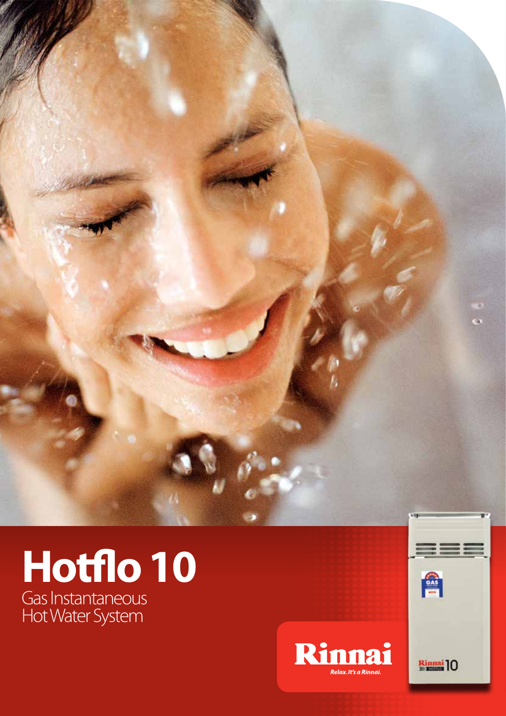

## Gas Instantaneous Hot Water System **Hotflo 10**



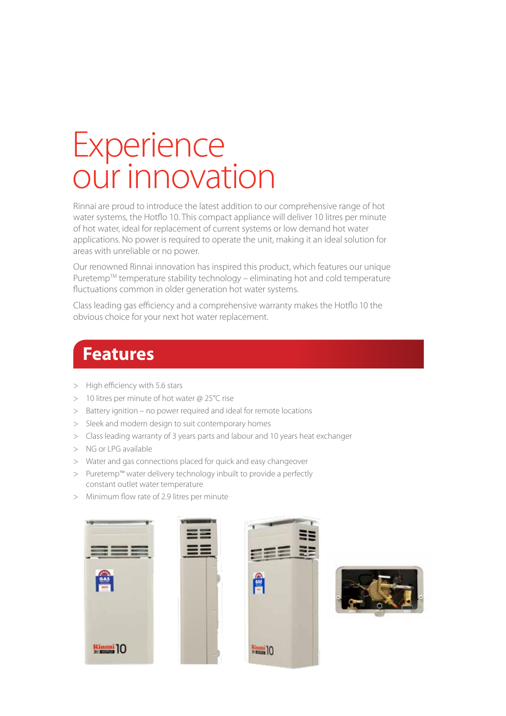## **Experience** our innovation

Rinnai are proud to introduce the latest addition to our comprehensive range of hot water systems, the Hotflo 10. This compact appliance will deliver 10 litres per minute of hot water, ideal for replacement of current systems or low demand hot water applications. No power is required to operate the unit, making it an ideal solution for areas with unreliable or no power.

Our renowned Rinnai innovation has inspired this product, which features our unique Puretemp<sup>TM</sup> temperature stability technology – eliminating hot and cold temperature fluctuations common in older generation hot water systems.

Class leading gas efficiency and a comprehensive warranty makes the Hotflo 10 the obvious choice for your next hot water replacement.

## **Features**

- > High efficiency with 5.6 stars
- > 10 litres per minute of hot water @ 25°C rise
- > Battery ignition no power required and ideal for remote locations
- > Sleek and modern design to suit contemporary homes
- > Class leading warranty of 3 years parts and labour and 10 years heat exchanger
- > NG or LPG available
- > Water and gas connections placed for quick and easy changeover
- > Puretemp™ water delivery technology inbuilt to provide a perfectly constant outlet water temperature
- > Minimum flow rate of 2.9 litres per minute





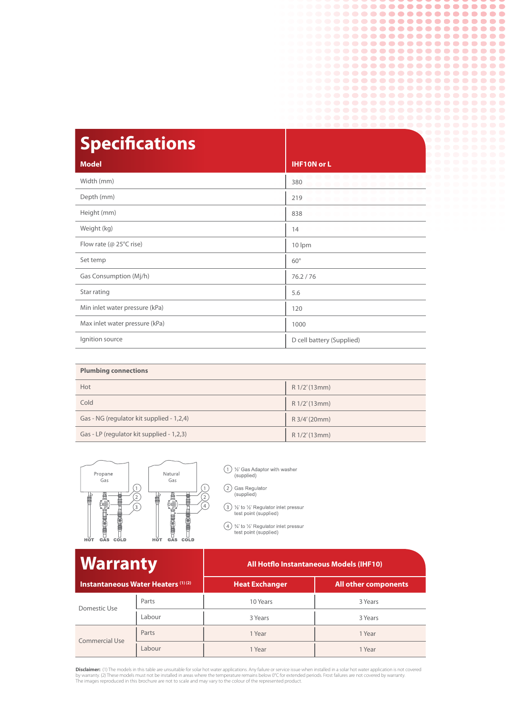| <b>Specifications</b>          |                           |
|--------------------------------|---------------------------|
| <b>Model</b>                   | <b>IHF10N or L</b>        |
| Width (mm)                     | 380                       |
| Depth (mm)                     | 219                       |
| Height (mm)                    | 838                       |
| Weight (kg)                    | 14                        |
| Flow rate ( $@$ 25 $°C$ rise)  | 10 lpm                    |
| Set temp                       | $60^\circ$                |
| Gas Consumption (Mj/h)         | 76.2 / 76                 |
| Star rating                    | 5.6                       |
| Min inlet water pressure (kPa) | 120                       |
| Max inlet water pressure (kPa) | 1000                      |
| Ignition source                | D cell battery (Supplied) |

.................. .................. .................... .................... .................... .................... .................... .................... ..................... .................... ...................

| <b>Plumbing connections</b>               |               |  |
|-------------------------------------------|---------------|--|
| Hot                                       | R 1/2'(13mm)  |  |
| Cold                                      | R 1/2' (13mm) |  |
| Gas - NG (regulator kit supplied - 1,2,4) | R 3/4' (20mm) |  |
| Gas - LP (regulator kit supplied - 1,2,3) | R 1/2' (13mm) |  |



1 1/2' Gas Adaptor with washer (supplied)

2 Gas Regulator<br>(supplied)

3 1/2' to 1/2' Regulator inlet pressure<br>test point (supplied)

4 3/4' to 1/2' Regulator inlet pressurest point (supplied)

| <b>Warranty</b><br>Instantaneous Water Heaters (1) (2) |        | <b>All Hotflo Instantaneous Models (IHF10)</b> |                             |
|--------------------------------------------------------|--------|------------------------------------------------|-----------------------------|
|                                                        |        | <b>Heat Exchanger</b>                          | <b>All other components</b> |
| Domestic Use                                           | Parts  | 10 Years                                       | 3 Years                     |
|                                                        | Labour | 3 Years                                        | 3 Years                     |
| <b>Commercial Use</b>                                  | Parts  | 1 Year                                         | 1 Year                      |
|                                                        | Labour | 1 Year                                         | 1 Year                      |

**Disclaimer:** (1) The models in this table are unsuitable for solar hot water applications. Any failure or service issue when installed in a solar hot water application is not covered<br>by warranty. (2) These models must not